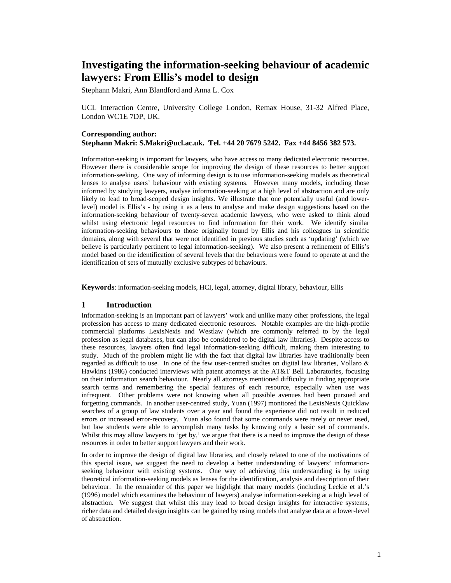# **Investigating the information-seeking behaviour of academic lawyers: From Ellis's model to design**

Stephann Makri, Ann Blandford and Anna L. Cox

UCL Interaction Centre, University College London, Remax House, 31-32 Alfred Place, London WC1E 7DP, UK.

# **Corresponding author: Stephann Makri: S.Makri@ucl.ac.uk. Tel. +44 20 7679 5242. Fax +44 8456 382 573.**

Information-seeking is important for lawyers, who have access to many dedicated electronic resources. However there is considerable scope for improving the design of these resources to better support information-seeking. One way of informing design is to use information-seeking models as theoretical lenses to analyse users' behaviour with existing systems. However many models, including those informed by studying lawyers, analyse information-seeking at a high level of abstraction and are only likely to lead to broad-scoped design insights. We illustrate that one potentially useful (and lowerlevel) model is Ellis's - by using it as a lens to analyse and make design suggestions based on the information-seeking behaviour of twenty-seven academic lawyers, who were asked to think aloud whilst using electronic legal resources to find information for their work. We identify similar information-seeking behaviours to those originally found by Ellis and his colleagues in scientific domains, along with several that were not identified in previous studies such as 'updating' (which we believe is particularly pertinent to legal information-seeking). We also present a refinement of Ellis's model based on the identification of several levels that the behaviours were found to operate at and the identification of sets of mutually exclusive subtypes of behaviours.

**Keywords**: information-seeking models, HCI, legal, attorney, digital library, behaviour, Ellis

# **1 Introduction**

Information-seeking is an important part of lawyers' work and unlike many other professions, the legal profession has access to many dedicated electronic resources. Notable examples are the high-profile commercial platforms LexisNexis and Westlaw (which are commonly referred to by the legal profession as legal databases, but can also be considered to be digital law libraries). Despite access to these resources, lawyers often find legal information-seeking difficult, making them interesting to study. Much of the problem might lie with the fact that digital law libraries have traditionally been regarded as difficult to use. In one of the few user-centred studies on digital law libraries, Vollaro & Hawkins (1986) conducted interviews with patent attorneys at the AT&T Bell Laboratories, focusing on their information search behaviour. Nearly all attorneys mentioned difficulty in finding appropriate search terms and remembering the special features of each resource, especially when use was infrequent. Other problems were not knowing when all possible avenues had been pursued and forgetting commands. In another user-centred study, Yuan (1997) monitored the LexisNexis Quicklaw searches of a group of law students over a year and found the experience did not result in reduced errors or increased error-recovery. Yuan also found that some commands were rarely or never used, but law students were able to accomplish many tasks by knowing only a basic set of commands. Whilst this may allow lawyers to 'get by,' we argue that there is a need to improve the design of these resources in order to better support lawyers and their work.

In order to improve the design of digital law libraries, and closely related to one of the motivations of this special issue, we suggest the need to develop a better understanding of lawyers' informationseeking behaviour with existing systems. One way of achieving this understanding is by using theoretical information-seeking models as lenses for the identification, analysis and description of their behaviour. In the remainder of this paper we highlight that many models (including Leckie et al.'s (1996) model which examines the behaviour of lawyers) analyse information-seeking at a high level of abstraction. We suggest that whilst this may lead to broad design insights for interactive systems, richer data and detailed design insights can be gained by using models that analyse data at a lower-level of abstraction.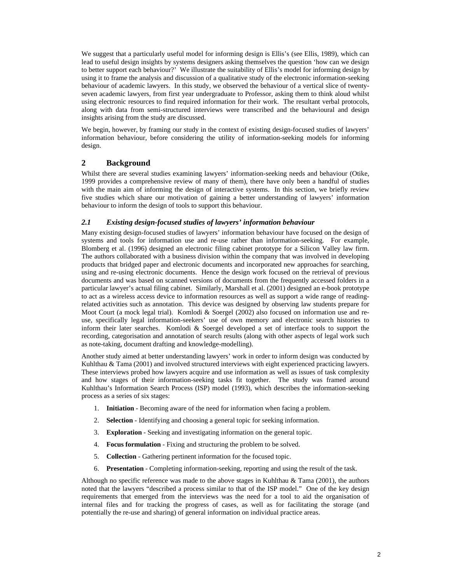We suggest that a particularly useful model for informing design is Ellis's (see Ellis, 1989), which can lead to useful design insights by systems designers asking themselves the question 'how can we design to better support each behaviour?' We illustrate the suitability of Ellis's model for informing design by using it to frame the analysis and discussion of a qualitative study of the electronic information-seeking behaviour of academic lawyers. In this study, we observed the behaviour of a vertical slice of twentyseven academic lawyers, from first year undergraduate to Professor, asking them to think aloud whilst using electronic resources to find required information for their work. The resultant verbal protocols, along with data from semi-structured interviews were transcribed and the behavioural and design insights arising from the study are discussed.

We begin, however, by framing our study in the context of existing design-focused studies of lawyers' information behaviour, before considering the utility of information-seeking models for informing design.

# **2 Background**

Whilst there are several studies examining lawyers' information-seeking needs and behaviour (Otike, 1999 provides a comprehensive review of many of them), there have only been a handful of studies with the main aim of informing the design of interactive systems. In this section, we briefly review five studies which share our motivation of gaining a better understanding of lawyers' information behaviour to inform the design of tools to support this behaviour.

# *2.1 Existing design-focused studies of lawyers' information behaviour*

Many existing design-focused studies of lawyers' information behaviour have focused on the design of systems and tools for information use and re-use rather than information-seeking. For example, Blomberg et al. (1996) designed an electronic filing cabinet prototype for a Silicon Valley law firm. The authors collaborated with a business division within the company that was involved in developing products that bridged paper and electronic documents and incorporated new approaches for searching, using and re-using electronic documents. Hence the design work focused on the retrieval of previous documents and was based on scanned versions of documents from the frequently accessed folders in a particular lawyer's actual filing cabinet. Similarly, Marshall et al. (2001) designed an e-book prototype to act as a wireless access device to information resources as well as support a wide range of readingrelated activities such as annotation. This device was designed by observing law students prepare for Moot Court (a mock legal trial). Komlodi & Soergel (2002) also focused on information use and reuse, specifically legal information-seekers' use of own memory and electronic search histories to inform their later searches. Komlodi & Soergel developed a set of interface tools to support the recording, categorisation and annotation of search results (along with other aspects of legal work such as note-taking, document drafting and knowledge-modelling).

Another study aimed at better understanding lawyers' work in order to inform design was conducted by Kuhlthau & Tama (2001) and involved structured interviews with eight experienced practicing lawyers. These interviews probed how lawyers acquire and use information as well as issues of task complexity and how stages of their information-seeking tasks fit together. The study was framed around Kuhlthau's Information Search Process (ISP) model (1993), which describes the information-seeking process as a series of six stages:

- 1. **Initiation** Becoming aware of the need for information when facing a problem.
- 2. **Selection** Identifying and choosing a general topic for seeking information.
- 3. **Exploration** Seeking and investigating information on the general topic.
- 4. **Focus formulation** Fixing and structuring the problem to be solved.
- 5. **Collection** Gathering pertinent information for the focused topic.
- 6. **Presentation** Completing information-seeking, reporting and using the result of the task.

Although no specific reference was made to the above stages in Kuhlthau  $\&$  Tama (2001), the authors noted that the lawyers "described a process similar to that of the ISP model." One of the key design requirements that emerged from the interviews was the need for a tool to aid the organisation of internal files and for tracking the progress of cases, as well as for facilitating the storage (and potentially the re-use and sharing) of general information on individual practice areas.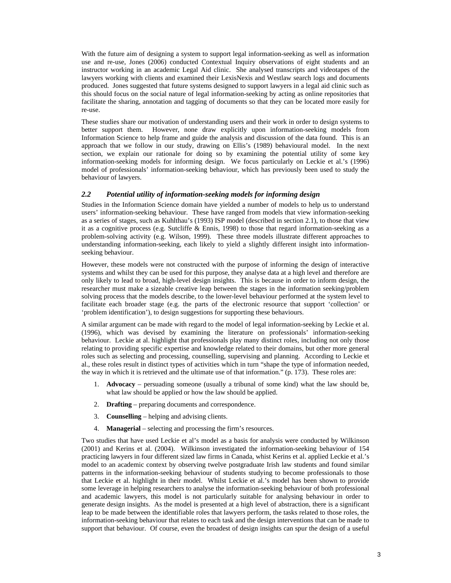With the future aim of designing a system to support legal information-seeking as well as information use and re-use, Jones (2006) conducted Contextual Inquiry observations of eight students and an instructor working in an academic Legal Aid clinic. She analysed transcripts and videotapes of the lawyers working with clients and examined their LexisNexis and Westlaw search logs and documents produced. Jones suggested that future systems designed to support lawyers in a legal aid clinic such as this should focus on the social nature of legal information-seeking by acting as online repositories that facilitate the sharing, annotation and tagging of documents so that they can be located more easily for re-use.

These studies share our motivation of understanding users and their work in order to design systems to better support them. However, none draw explicitly upon information-seeking models from Information Science to help frame and guide the analysis and discussion of the data found. This is an approach that we follow in our study, drawing on Ellis's (1989) behavioural model. In the next section, we explain our rationale for doing so by examining the potential utility of some key information-seeking models for informing design. We focus particularly on Leckie et al.'s (1996) model of professionals' information-seeking behaviour, which has previously been used to study the behaviour of lawyers.

## *2.2 Potential utility of information-seeking models for informing design*

Studies in the Information Science domain have yielded a number of models to help us to understand users' information-seeking behaviour. These have ranged from models that view information-seeking as a series of stages, such as Kuhlthau's (1993) ISP model (described in section 2.1), to those that view it as a cognitive process (e.g. Sutcliffe & Ennis, 1998) to those that regard information-seeking as a problem-solving activity (e.g. Wilson, 1999). These three models illustrate different approaches to understanding information-seeking, each likely to yield a slightly different insight into informationseeking behaviour.

However, these models were not constructed with the purpose of informing the design of interactive systems and whilst they can be used for this purpose, they analyse data at a high level and therefore are only likely to lead to broad, high-level design insights. This is because in order to inform design, the researcher must make a sizeable creative leap between the stages in the information seeking/problem solving process that the models describe, to the lower-level behaviour performed at the system level to facilitate each broader stage (e.g. the parts of the electronic resource that support 'collection' or 'problem identification'), to design suggestions for supporting these behaviours.

A similar argument can be made with regard to the model of legal information-seeking by Leckie et al. (1996), which was devised by examining the literature on professionals' information-seeking behaviour. Leckie at al. highlight that professionals play many distinct roles, including not only those relating to providing specific expertise and knowledge related to their domains, but other more general roles such as selecting and processing, counselling, supervising and planning. According to Leckie et al., these roles result in distinct types of activities which in turn "shape the type of information needed, the way in which it is retrieved and the ultimate use of that information." (p. 173). These roles are:

- 1. **Advocacy** persuading someone (usually a tribunal of some kind) what the law should be, what law should be applied or how the law should be applied.
- 2. **Drafting** preparing documents and correspondence.
- 3. **Counselling** helping and advising clients.
- 4. **Managerial** selecting and processing the firm's resources.

Two studies that have used Leckie et al's model as a basis for analysis were conducted by Wilkinson (2001) and Kerins et al. (2004). Wilkinson investigated the information-seeking behaviour of 154 practicing lawyers in four different sized law firms in Canada, whist Kerins et al. applied Leckie et al.'s model to an academic context by observing twelve postgraduate Irish law students and found similar patterns in the information-seeking behaviour of students studying to become professionals to those that Leckie et al. highlight in their model. Whilst Leckie et al.'s model has been shown to provide some leverage in helping researchers to analyse the information-seeking behaviour of both professional and academic lawyers, this model is not particularly suitable for analysing behaviour in order to generate design insights. As the model is presented at a high level of abstraction, there is a significant leap to be made between the identifiable roles that lawyers perform, the tasks related to those roles, the information-seeking behaviour that relates to each task and the design interventions that can be made to support that behaviour. Of course, even the broadest of design insights can spur the design of a useful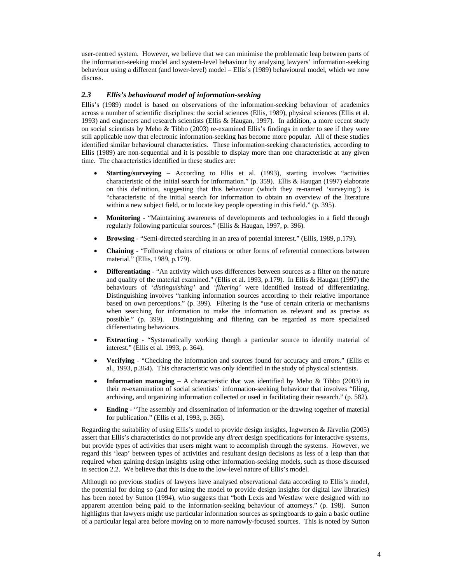user-centred system. However, we believe that we can minimise the problematic leap between parts of the information-seeking model and system-level behaviour by analysing lawyers' information-seeking behaviour using a different (and lower-level) model – Ellis's (1989) behavioural model, which we now discuss.

## *2.3 Ellis's behavioural model of information-seeking*

Ellis's (1989) model is based on observations of the information-seeking behaviour of academics across a number of scientific disciplines: the social sciences (Ellis, 1989), physical sciences (Ellis et al. 1993) and engineers and research scientists (Ellis & Haugan, 1997). In addition, a more recent study on social scientists by Meho & Tibbo (2003) re-examined Ellis's findings in order to see if they were still applicable now that electronic information-seeking has become more popular. All of these studies identified similar behavioural characteristics. These information-seeking characteristics, according to Ellis (1989) are non-sequential and it is possible to display more than one characteristic at any given time. The characteristics identified in these studies are:

- **Starting/surveying** According to Ellis et al. (1993), starting involves "activities" characteristic of the initial search for information." (p. 359). Ellis & Haugan (1997) elaborate on this definition, suggesting that this behaviour (which they re-named 'surveying') is "characteristic of the initial search for information to obtain an overview of the literature within a new subject field, or to locate key people operating in this field." (p. 395).
- **Monitoring**  "Maintaining awareness of developments and technologies in a field through regularly following particular sources." (Ellis & Haugan, 1997, p. 396).
- **Browsing**  "Semi-directed searching in an area of potential interest." (Ellis, 1989, p.179).
- **Chaining**  "Following chains of citations or other forms of referential connections between material." (Ellis, 1989, p.179).
- **Differentiating**  "An activity which uses differences between sources as a filter on the nature and quality of the material examined." (Ellis et al. 1993, p.179). In Ellis & Haugan (1997) the behaviours of '*distinguishing'* and '*filtering'* were identified instead of differentiating. Distinguishing involves "ranking information sources according to their relative importance based on own perceptions." (p. 399). Filtering is the "use of certain criteria or mechanisms when searching for information to make the information as relevant and as precise as possible." (p. 399). Distinguishing and filtering can be regarded as more specialised differentiating behaviours.
- **Extracting** "Systematically working though a particular source to identify material of interest." (Ellis et al. 1993, p. 364).
- **Verifying**  "Checking the information and sources found for accuracy and errors." (Ellis et al., 1993, p.364). This characteristic was only identified in the study of physical scientists.
- **Information managing** A characteristic that was identified by Meho  $\&$  Tibbo (2003) in their re-examination of social scientists' information-seeking behaviour that involves "filing, archiving, and organizing information collected or used in facilitating their research." (p. 582).
- **Ending** "The assembly and dissemination of information or the drawing together of material for publication." (Ellis et al, 1993, p. 365).

Regarding the suitability of using Ellis's model to provide design insights, Ingwersen & Järvelin (2005) assert that Ellis's characteristics do not provide any *direct* design specifications for interactive systems, but provide types of activities that users might want to accomplish through the systems. However, we regard this 'leap' between types of activities and resultant design decisions as less of a leap than that required when gaining design insights using other information-seeking models, such as those discussed in section 2.2. We believe that this is due to the low-level nature of Ellis's model.

Although no previous studies of lawyers have analysed observational data according to Ellis's model, the potential for doing so (and for using the model to provide design insights for digital law libraries) has been noted by Sutton (1994), who suggests that "both Lexis and Westlaw were designed with no apparent attention being paid to the information-seeking behaviour of attorneys." (p. 198). Sutton highlights that lawyers might use particular information sources as springboards to gain a basic outline of a particular legal area before moving on to more narrowly-focused sources. This is noted by Sutton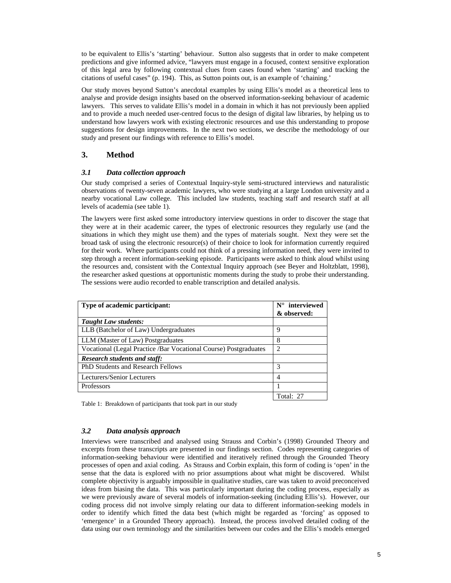to be equivalent to Ellis's 'starting' behaviour. Sutton also suggests that in order to make competent predictions and give informed advice, "lawyers must engage in a focused, context sensitive exploration of this legal area by following contextual clues from cases found when 'starting' and tracking the citations of useful cases" (p. 194). This, as Sutton points out, is an example of 'chaining.'

Our study moves beyond Sutton's anecdotal examples by using Ellis's model as a theoretical lens to analyse and provide design insights based on the observed information-seeking behaviour of academic lawyers. This serves to validate Ellis's model in a domain in which it has not previously been applied and to provide a much needed user-centred focus to the design of digital law libraries, by helping us to understand how lawyers work with existing electronic resources and use this understanding to propose suggestions for design improvements. In the next two sections, we describe the methodology of our study and present our findings with reference to Ellis's model.

# **3. Method**

# *3.1 Data collection approach*

Our study comprised a series of Contextual Inquiry-style semi-structured interviews and naturalistic observations of twenty-seven academic lawyers, who were studying at a large London university and a nearby vocational Law college. This included law students, teaching staff and research staff at all levels of academia (see table 1).

The lawyers were first asked some introductory interview questions in order to discover the stage that they were at in their academic career, the types of electronic resources they regularly use (and the situations in which they might use them) and the types of materials sought. Next they were set the broad task of using the electronic resource(s) of their choice to look for information currently required for their work. Where participants could not think of a pressing information need, they were invited to step through a recent information-seeking episode. Participants were asked to think aloud whilst using the resources and, consistent with the Contextual Inquiry approach (see Beyer and Holtzblatt, 1998), the researcher asked questions at opportunistic moments during the study to probe their understanding. The sessions were audio recorded to enable transcription and detailed analysis.

| Type of academic participant:                                    | $N^{\circ}$ interviewed<br>& observed: |
|------------------------------------------------------------------|----------------------------------------|
| <b>Taught Law students:</b>                                      |                                        |
| LLB (Batchelor of Law) Undergraduates                            | 9                                      |
| LLM (Master of Law) Postgraduates                                | 8                                      |
| Vocational (Legal Practice /Bar Vocational Course) Postgraduates | $\overline{c}$                         |
| <b>Research students and staff:</b>                              |                                        |
| <b>PhD Students and Research Fellows</b>                         | 3                                      |
| Lecturers/Senior Lecturers                                       | 4                                      |
| Professors                                                       |                                        |
|                                                                  | Total: 27                              |

Table 1: Breakdown of participants that took part in our study

# *3.2 Data analysis approach*

Interviews were transcribed and analysed using Strauss and Corbin's (1998) Grounded Theory and excerpts from these transcripts are presented in our findings section. Codes representing categories of information-seeking behaviour were identified and iteratively refined through the Grounded Theory processes of open and axial coding. As Strauss and Corbin explain, this form of coding is 'open' in the sense that the data is explored with no prior assumptions about what might be discovered. Whilst complete objectivity is arguably impossible in qualitative studies, care was taken to avoid preconceived ideas from biasing the data. This was particularly important during the coding process, especially as we were previously aware of several models of information-seeking (including Ellis's). However, our coding process did not involve simply relating our data to different information-seeking models in order to identify which fitted the data best (which might be regarded as 'forcing' as opposed to 'emergence' in a Grounded Theory approach). Instead, the process involved detailed coding of the data using our own terminology and the similarities between our codes and the Ellis's models emerged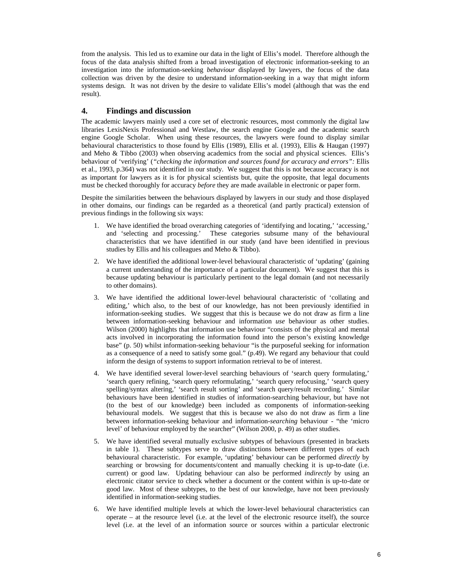from the analysis. This led us to examine our data in the light of Ellis's model. Therefore although the focus of the data analysis shifted from a broad investigation of electronic information-seeking to an investigation into the information-seeking *behaviour* displayed by lawyers, the focus of the data collection was driven by the desire to understand information-seeking in a way that might inform systems design. It was not driven by the desire to validate Ellis's model (although that was the end result).

# **4. Findings and discussion**

The academic lawyers mainly used a core set of electronic resources, most commonly the digital law libraries LexisNexis Professional and Westlaw, the search engine Google and the academic search engine Google Scholar. When using these resources, the lawyers were found to display similar behavioural characteristics to those found by Ellis (1989), Ellis et al. (1993), Ellis & Haugan (1997) and Meho & Tibbo (2003) when observing academics from the social and physical sciences. Ellis's behaviour of 'verifying' (*"checking the information and sources found for accuracy and errors":* Ellis et al., 1993, p.364) was not identified in our study. We suggest that this is not because accuracy is not as important for lawyers as it is for physical scientists but, quite the opposite, that legal documents must be checked thoroughly for accuracy *before* they are made available in electronic or paper form.

Despite the similarities between the behaviours displayed by lawyers in our study and those displayed in other domains, our findings can be regarded as a theoretical (and partly practical) extension of previous findings in the following six ways:

- 1. We have identified the broad overarching categories of 'identifying and locating,' 'accessing,' and 'selecting and processing.' These categories subsume many of the behavioural characteristics that we have identified in our study (and have been identified in previous studies by Ellis and his colleagues and Meho & Tibbo).
- 2. We have identified the additional lower-level behavioural characteristic of 'updating' (gaining a current understanding of the importance of a particular document). We suggest that this is because updating behaviour is particularly pertinent to the legal domain (and not necessarily to other domains).
- 3. We have identified the additional lower-level behavioural characteristic of 'collating and editing,' which also, to the best of our knowledge, has not been previously identified in information-seeking studies. We suggest that this is because we do not draw as firm a line between information-seeking behaviour and information *use* behaviour as other studies. Wilson (2000) highlights that information use behaviour "consists of the physical and mental acts involved in incorporating the information found into the person's existing knowledge base" (p. 50) whilst information-seeking behaviour "is the purposeful seeking for information as a consequence of a need to satisfy some goal." (p.49). We regard any behaviour that could inform the design of systems to support information retrieval to be of interest.
- 4. We have identified several lower-level searching behaviours of 'search query formulating,' 'search query refining, 'search query reformulating,' 'search query refocusing,' 'search query spelling/syntax altering,' 'search result sorting' and 'search query/result recording.' Similar behaviours have been identified in studies of information-searching behaviour, but have not (to the best of our knowledge) been included as components of information-seeking behavioural models. We suggest that this is because we also do not draw as firm a line between information-seeking behaviour and information-*searching* behaviour - "the 'micro level' of behaviour employed by the searcher" (Wilson 2000, p. 49) as other studies.
- 5. We have identified several mutually exclusive subtypes of behaviours (presented in brackets in table 1). These subtypes serve to draw distinctions between different types of each behavioural characteristic. For example, 'updating' behaviour can be performed *directly* by searching or browsing for documents/content and manually checking it is up-to-date (i.e. current) or good law. Updating behaviour can also be performed *indirectly* by using an electronic citator service to check whether a document or the content within is up-to-date or good law. Most of these subtypes, to the best of our knowledge, have not been previously identified in information-seeking studies.
- 6. We have identified multiple levels at which the lower-level behavioural characteristics can operate – at the resource level (i.e. at the level of the electronic resource itself), the source level (i.e. at the level of an information source or sources within a particular electronic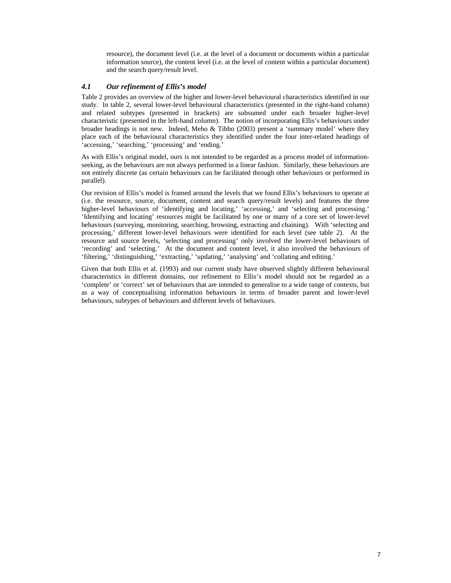resource), the document level (i.e. at the level of a document or documents within a particular information source), the content level (i.e. at the level of content within a particular document) and the search query/result level.

# *4.1 Our refinement of Ellis's model*

Table 2 provides an overview of the higher and lower-level behavioural characteristics identified in our study. In table 2, several lower-level behavioural characteristics (presented in the right-hand column) and related subtypes (presented in brackets) are subsumed under each broader higher-level characteristic (presented in the left-hand column). The notion of incorporating Ellis's behaviours under broader headings is not new. Indeed, Meho & Tibbo (2003) present a 'summary model' where they place each of the behavioural characteristics they identified under the four inter-related headings of 'accessing,' 'searching,' 'processing' and 'ending.'

As with Ellis's original model, ours is not intended to be regarded as a process model of informationseeking, as the behaviours are not always performed in a linear fashion. Similarly, these behaviours are not entirely discrete (as certain behaviours can be facilitated through other behaviours or performed in parallel).

Our revision of Ellis's model is framed around the levels that we found Ellis's behaviours to operate at (i.e. the resource, source, document, content and search query/result levels) and features the three higher-level behaviours of 'identifying and locating,' 'accessing,' and 'selecting and processing.' 'Identifying and locating' resources might be facilitated by one or many of a core set of lower-level behaviours (surveying, monitoring, searching, browsing, extracting and chaining). With 'selecting and processing,' different lower-level behaviours were identified for each level (see table 2). At the resource and source levels, 'selecting and processing' only involved the lower-level behaviours of 'recording' and 'selecting.' At the document and content level, it also involved the behaviours of 'filtering,' 'distinguishing,' 'extracting,' 'updating,' 'analysing' and 'collating and editing.'

Given that both Ellis et al. (1993) and our current study have observed slightly different behavioural characteristics in different domains, our refinement to Ellis's model should not be regarded as a 'complete' or 'correct' set of behaviours that are intended to generalise to a wide range of contexts, but as a way of conceptualising information behaviours in terms of broader parent and lower-level behaviours, subtypes of behaviours and different levels of behaviours.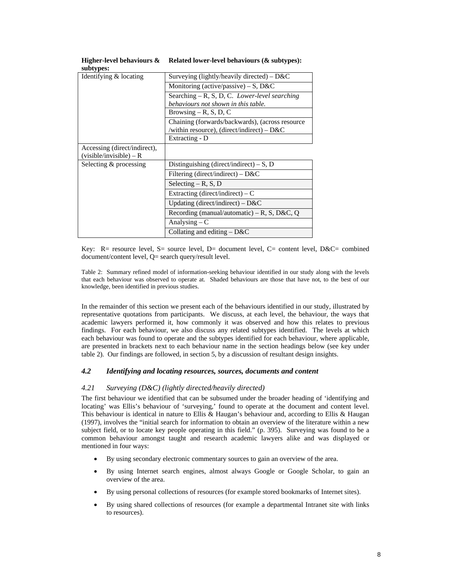| $v_{\rm max}$ , pos          |                                                 |
|------------------------------|-------------------------------------------------|
| Identifying & locating       | Surveying (lightly/heavily directed) – $D&C$    |
|                              | Monitoring (active/passive) – S, $D&C$          |
|                              | Searching $-R$ , S, D, C. Lower-level searching |
|                              | behaviours not shown in this table.             |
|                              | Browsing $-$ R, S, D, C                         |
|                              | Chaining (forwards/backwards), (across resource |
|                              | /within resource), (direct/indirect) – $D&C$    |
|                              | Extracting - D                                  |
| Accessing (direct/indirect), |                                                 |
| (visible/invisible) – R      |                                                 |
| Selecting & processing       | Distinguishing (direct/indirect) – $S$ , D      |
|                              | Filtering (direct/indirect) – $D&C$             |
|                              | Selecting $-$ R, S, D                           |
|                              | Extracting (direct/indirect) – $C$              |
|                              | Updating (direct/indirect) – $D&C$              |
|                              | Recording (manual/automatic) – R, S, D&C, Q     |
|                              | Analysing $-C$                                  |
|                              | Collating and editing $-$ D&C                   |

#### **Higher-level behaviours & Related lower-level behaviours (& subtypes): subtypes:**

Key:  $R =$  resource level,  $S =$  source level,  $D =$  document level,  $C =$  content level,  $D \& C =$  combined document/content level, Q= search query/result level.

Table 2: Summary refined model of information-seeking behaviour identified in our study along with the levels that each behaviour was observed to operate at. Shaded behaviours are those that have not, to the best of our knowledge, been identified in previous studies.

In the remainder of this section we present each of the behaviours identified in our study, illustrated by representative quotations from participants. We discuss, at each level, the behaviour, the ways that academic lawyers performed it, how commonly it was observed and how this relates to previous findings. For each behaviour, we also discuss any related subtypes identified. The levels at which each behaviour was found to operate and the subtypes identified for each behaviour, where applicable, are presented in brackets next to each behaviour name in the section headings below (see key under table 2). Our findings are followed, in section 5, by a discussion of resultant design insights.

#### *4.2 Identifying and locating resources, sources, documents and content*

#### *4.21 Surveying (D&C) (lightly directed/heavily directed)*

The first behaviour we identified that can be subsumed under the broader heading of 'identifying and locating' was Ellis's behaviour of 'surveying,' found to operate at the document and content level. This behaviour is identical in nature to Ellis & Haugan's behaviour and, according to Ellis & Haugan (1997), involves the "initial search for information to obtain an overview of the literature within a new subject field, or to locate key people operating in this field." (p. 395). Surveying was found to be a common behaviour amongst taught and research academic lawyers alike and was displayed or mentioned in four ways:

- By using secondary electronic commentary sources to gain an overview of the area.
- By using Internet search engines, almost always Google or Google Scholar, to gain an overview of the area.
- By using personal collections of resources (for example stored bookmarks of Internet sites).
- By using shared collections of resources (for example a departmental Intranet site with links to resources).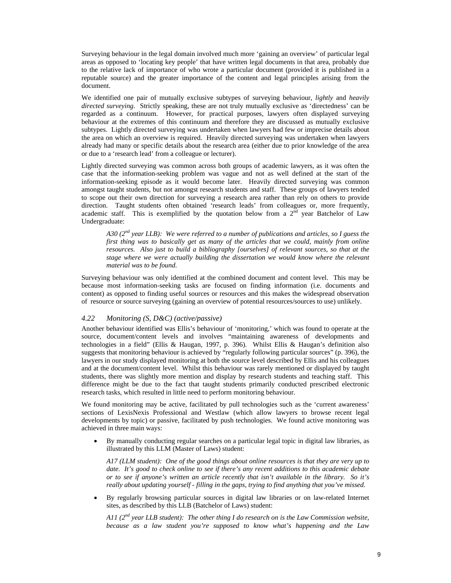Surveying behaviour in the legal domain involved much more 'gaining an overview' of particular legal areas as opposed to 'locating key people' that have written legal documents in that area, probably due to the relative lack of importance of who wrote a particular document (provided it is published in a reputable source) and the greater importance of the content and legal principles arising from the document.

We identified one pair of mutually exclusive subtypes of surveying behaviour, *lightly* and *heavily directed surveying*. Strictly speaking, these are not truly mutually exclusive as 'directedness' can be regarded as a continuum. However, for practical purposes, lawyers often displayed surveying behaviour at the extremes of this continuum and therefore they are discussed as mutually exclusive subtypes. Lightly directed surveying was undertaken when lawyers had few or imprecise details about the area on which an overview is required. Heavily directed surveying was undertaken when lawyers already had many or specific details about the research area (either due to prior knowledge of the area or due to a 'research lead' from a colleague or lecturer).

Lightly directed surveying was common across both groups of academic lawyers, as it was often the case that the information-seeking problem was vague and not as well defined at the start of the information-seeking episode as it would become later. Heavily directed surveying was common amongst taught students, but not amongst research students and staff. These groups of lawyers tended to scope out their own direction for surveying a research area rather than rely on others to provide direction. Taught students often obtained 'research leads' from colleagues or, more frequently, academic staff. This is exemplified by the quotation below from a  $2<sup>nd</sup>$  year Batchelor of Law Undergraduate:

*A30 (2nd year LLB): We were referred to a number of publications and articles, so I guess the first thing was to basically get as many of the articles that we could, mainly from online resources. Also just to build a bibliography [ourselves] of relevant sources, so that at the stage where we were actually building the dissertation we would know where the relevant material was to be found.* 

Surveying behaviour was only identified at the combined document and content level. This may be because most information-seeking tasks are focused on finding information (i.e. documents and content) as opposed to finding useful sources or resources and this makes the widespread observation of resource or source surveying (gaining an overview of potential resources/sources to use) unlikely.

## *4.22 Monitoring (S, D&C) (active/passive)*

Another behaviour identified was Ellis's behaviour of 'monitoring,' which was found to operate at the source, document/content levels and involves "maintaining awareness of developments and technologies in a field" (Ellis & Haugan, 1997, p. 396). Whilst Ellis & Haugan's definition also suggests that monitoring behaviour is achieved by "regularly following particular sources" (p. 396), the lawyers in our study displayed monitoring at both the source level described by Ellis and his colleagues and at the document/content level. Whilst this behaviour was rarely mentioned or displayed by taught students, there was slightly more mention and display by research students and teaching staff. This difference might be due to the fact that taught students primarily conducted prescribed electronic research tasks, which resulted in little need to perform monitoring behaviour.

We found monitoring may be active, facilitated by pull technologies such as the 'current awareness' sections of LexisNexis Professional and Westlaw (which allow lawyers to browse recent legal developments by topic) or passive, facilitated by push technologies. We found active monitoring was achieved in three main ways:

• By manually conducting regular searches on a particular legal topic in digital law libraries, as illustrated by this LLM (Master of Laws) student:

*A17 (LLM student): One of the good things about online resources is that they are very up to date. It's good to check online to see if there's any recent additions to this academic debate or to see if anyone's written an article recently that isn't available in the library. So it's really about updating yourself - filling in the gaps, trying to find anything that you've missed.* 

• By regularly browsing particular sources in digital law libraries or on law-related Internet sites, as described by this LLB (Batchelor of Laws) student:

*A11 (2nd year LLB student): The other thing I do research on is the Law Commission website, because as a law student you're supposed to know what's happening and the Law*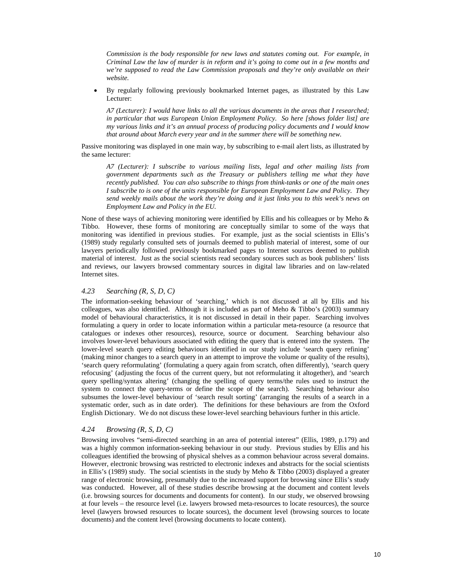*Commission is the body responsible for new laws and statutes coming out. For example, in Criminal Law the law of murder is in reform and it's going to come out in a few months and we're supposed to read the Law Commission proposals and they're only available on their website.* 

• By regularly following previously bookmarked Internet pages, as illustrated by this Law Lecturer:

*A7 (Lecturer): I would have links to all the various documents in the areas that I researched; in particular that was European Union Employment Policy. So here [shows folder list] are my various links and it's an annual process of producing policy documents and I would know that around about March every year and in the summer there will be something new.* 

Passive monitoring was displayed in one main way, by subscribing to e-mail alert lists, as illustrated by the same lecturer:

*A7 (Lecturer): I subscribe to various mailing lists, legal and other mailing lists from government departments such as the Treasury or publishers telling me what they have recently published. You can also subscribe to things from think-tanks or one of the main ones I subscribe to is one of the units responsible for European Employment Law and Policy. They send weekly mails about the work they're doing and it just links you to this week's news on Employment Law and Policy in the EU.* 

None of these ways of achieving monitoring were identified by Ellis and his colleagues or by Meho & Tibbo. However, these forms of monitoring are conceptually similar to some of the ways that monitoring was identified in previous studies. For example, just as the social scientists in Ellis's (1989) study regularly consulted sets of journals deemed to publish material of interest, some of our lawyers periodically followed previously bookmarked pages to Internet sources deemed to publish material of interest. Just as the social scientists read secondary sources such as book publishers' lists and reviews, our lawyers browsed commentary sources in digital law libraries and on law-related Internet sites.

#### *4.23 Searching (R, S, D, C)*

The information-seeking behaviour of 'searching,' which is not discussed at all by Ellis and his colleagues, was also identified. Although it is included as part of Meho & Tibbo's (2003) summary model of behavioural characteristics, it is not discussed in detail in their paper. Searching involves formulating a query in order to locate information within a particular meta-resource (a resource that catalogues or indexes other resources), resource, source or document. Searching behaviour also involves lower-level behaviours associated with editing the query that is entered into the system. The lower-level search query editing behaviours identified in our study include 'search query refining' (making minor changes to a search query in an attempt to improve the volume or quality of the results), 'search query reformulating' (formulating a query again from scratch, often differently), 'search query refocusing' (adjusting the focus of the current query, but not reformulating it altogether), and 'search query spelling/syntax altering' (changing the spelling of query terms/the rules used to instruct the system to connect the query-terms or define the scope of the search). Searching behaviour also subsumes the lower-level behaviour of 'search result sorting' (arranging the results of a search in a systematic order, such as in date order). The definitions for these behaviours are from the Oxford English Dictionary. We do not discuss these lower-level searching behaviours further in this article.

#### *4.24 Browsing (R, S, D, C)*

Browsing involves "semi-directed searching in an area of potential interest" (Ellis, 1989, p.179) and was a highly common information-seeking behaviour in our study. Previous studies by Ellis and his colleagues identified the browsing of physical shelves as a common behaviour across several domains. However, electronic browsing was restricted to electronic indexes and abstracts for the social scientists in Ellis's (1989) study. The social scientists in the study by Meho & Tibbo (2003) displayed a greater range of electronic browsing, presumably due to the increased support for browsing since Ellis's study was conducted. However, all of these studies describe browsing at the document and content levels (i.e. browsing sources for documents and documents for content). In our study, we observed browsing at four levels – the resource level (i.e. lawyers browsed meta-resources to locate resources), the source level (lawyers browsed resources to locate sources), the document level (browsing sources to locate documents) and the content level (browsing documents to locate content).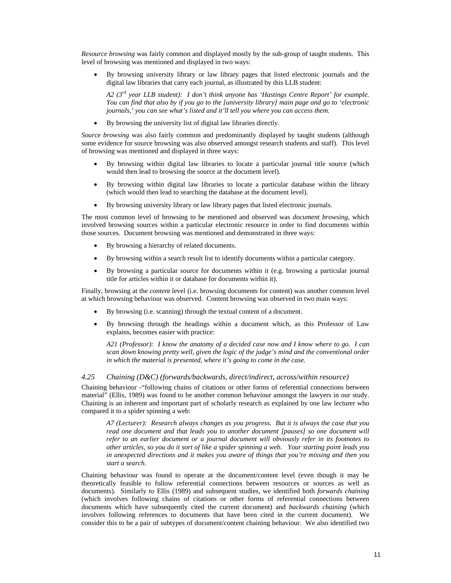*Resource browsing* was fairly common and displayed mostly by the sub-group of taught students. This level of browsing was mentioned and displayed in two ways:

• By browsing university library or law library pages that listed electronic journals and the digital law libraries that carry each journal, as illustrated by this LLB student:

*A2 (3rd year LLB student): I don't think anyone has 'Hastings Centre Report' for example. You can find that also by if you go to the [university library] main page and go to 'electronic journals,' you can see what's listed and it'll tell you where you can access them.* 

• By browsing the university list of digital law libraries directly.

*Source browsing* was also fairly common and predominantly displayed by taught students (although some evidence for source browsing was also observed amongst research students and staff). This level of browsing was mentioned and displayed in three ways:

- By browsing within digital law libraries to locate a particular journal title source (which would then lead to browsing the source at the document level).
- By browsing within digital law libraries to locate a particular database within the library (which would then lead to searching the database at the document level).
- By browsing university library or law library pages that listed electronic journals.

The most common level of browsing to be mentioned and observed was *document browsing*, which involved browsing sources within a particular electronic resource in order to find documents within those sources. Document browsing was mentioned and demonstrated in three ways:

- By browsing a hierarchy of related documents.
- By browsing within a search result list to identify documents within a particular category.
- By browsing a particular source for documents within it (e.g. browsing a particular journal title for articles within it or database for documents within it).

Finally, browsing at the *content* level (i.e. browsing documents for content) was another common level at which browsing behaviour was observed. Content browsing was observed in two main ways:

- By browsing (i.e. scanning) through the textual content of a document.
- By browsing through the headings within a document which, as this Professor of Law explains, becomes easier with practice:

*A21 (Professor): I know the anatomy of a decided case now and I know where to go. I can scan down knowing pretty well, given the logic of the judge's mind and the conventional order in which the material is presented, where it's going to come in the case.* 

#### *4.25 Chaining (D&C) (forwards/backwards, direct/indirect, across/within resource)*

Chaining behaviour -"following chains of citations or other forms of referential connections between material" (Ellis, 1989) was found to be another common behaviour amongst the lawyers in our study. Chaining is an inherent and important part of scholarly research as explained by one law lecturer who compared it to a spider spinning a web:

*A7 (Lecturer): Research always changes as you progress. But it is always the case that you read one document and that leads you to another document [pauses] so one document will refer to an earlier document or a journal document will obviously refer in its footnotes to other articles, so you do it sort of like a spider spinning a web. Your starting point leads you in unexpected directions and it makes you aware of things that you're missing and then you start a search.* 

Chaining behaviour was found to operate at the document/content level (even though it may be theoretically feasible to follow referential connections between resources or sources as well as documents). Similarly to Ellis (1989) and subsequent studies, we identified both *forwards chaining* (which involves following chains of citations or other forms of referential connections between documents which have subsequently cited the current document) and *backwards chaining* (which involves following references to documents that have been cited in the current document). We consider this to be a pair of subtypes of document/content chaining behaviour. We also identified two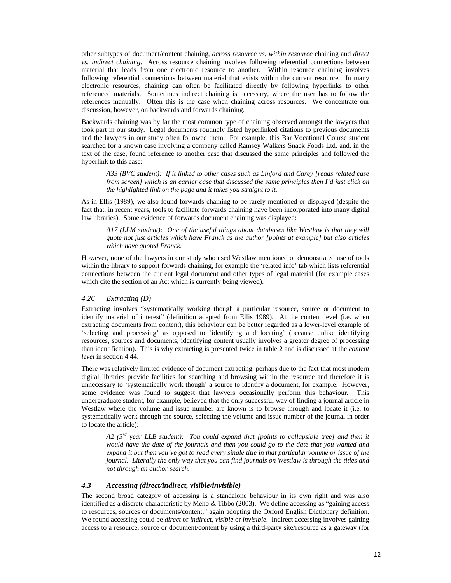other subtypes of document/content chaining, *across resource vs. within resource* chaining and *direct vs. indirect chaining*. Across resource chaining involves following referential connections between material that leads from one electronic resource to another. Within resource chaining involves following referential connections between material that exists within the current resource. In many electronic resources, chaining can often be facilitated directly by following hyperlinks to other referenced materials. Sometimes indirect chaining is necessary, where the user has to follow the references manually. Often this is the case when chaining across resources. We concentrate our discussion, however, on backwards and forwards chaining.

Backwards chaining was by far the most common type of chaining observed amongst the lawyers that took part in our study. Legal documents routinely listed hyperlinked citations to previous documents and the lawyers in our study often followed them. For example, this Bar Vocational Course student searched for a known case involving a company called Ramsey Walkers Snack Foods Ltd. and, in the text of the case, found reference to another case that discussed the same principles and followed the hyperlink to this case:

*A33 (BVC student): If it linked to other cases such as Linford and Carey [reads related case from screen] which is an earlier case that discussed the same principles then I'd just click on the highlighted link on the page and it takes you straight to it.* 

As in Ellis (1989), we also found forwards chaining to be rarely mentioned or displayed (despite the fact that, in recent years, tools to facilitate forwards chaining have been incorporated into many digital law libraries). Some evidence of forwards document chaining was displayed:

*A17 (LLM student): One of the useful things about databases like Westlaw is that they will quote not just articles which have Franck as the author [points at example] but also articles which have quoted Franck.* 

However, none of the lawyers in our study who used Westlaw mentioned or demonstrated use of tools within the library to support forwards chaining, for example the 'related info' tab which lists referential connections between the current legal document and other types of legal material (for example cases which cite the section of an Act which is currently being viewed).

## *4.26 Extracting (D)*

Extracting involves "systematically working though a particular resource, source or document to identify material of interest" (definition adapted from Ellis 1989). At the content level (i.e. when extracting documents from content), this behaviour can be better regarded as a lower-level example of 'selecting and processing' as opposed to 'identifying and locating' (because unlike identifying resources, sources and documents, identifying content usually involves a greater degree of processing than identification). This is why extracting is presented twice in table 2 and is discussed at the *content level* in section 4.44.

There was relatively limited evidence of document extracting, perhaps due to the fact that most modern digital libraries provide facilities for searching and browsing within the resource and therefore it is unnecessary to 'systematically work though' a source to identify a document, for example. However, some evidence was found to suggest that lawyers occasionally perform this behaviour. This undergraduate student, for example, believed that the only successful way of finding a journal article in Westlaw where the volume and issue number are known is to browse through and locate it (i.e. to systematically work through the source, selecting the volume and issue number of the journal in order to locate the article):

*A2 (3rd year LLB student): You could expand that [points to collapsible tree] and then it would have the date of the journals and then you could go to the date that you wanted and expand it but then you've got to read every single title in that particular volume or issue of the journal. Literally the only way that you can find journals on Westlaw is through the titles and not through an author search.* 

# *4.3 Accessing (direct/indirect, visible/invisible)*

The second broad category of accessing is a standalone behaviour in its own right and was also identified as a discrete characteristic by Meho & Tibbo (2003). We define accessing as "gaining access to resources, sources or documents/content," again adopting the Oxford English Dictionary definition. We found accessing could be *direct* or *indirect*, *visible* or *invisible*. Indirect accessing involves gaining access to a resource, source or document/content by using a third-party site/resource as a gateway (for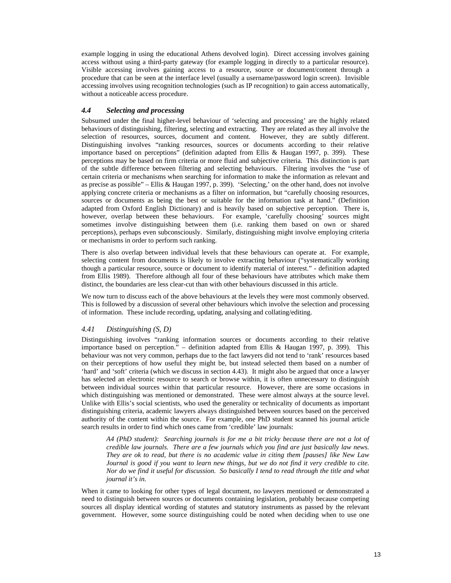example logging in using the educational Athens devolved login). Direct accessing involves gaining access without using a third-party gateway (for example logging in directly to a particular resource). Visible accessing involves gaining access to a resource, source or document/content through a procedure that can be seen at the interface level (usually a username/password login screen). Invisible accessing involves using recognition technologies (such as IP recognition) to gain access automatically, without a noticeable access procedure.

# *4.4 Selecting and processing*

Subsumed under the final higher-level behaviour of 'selecting and processing' are the highly related behaviours of distinguishing, filtering, selecting and extracting. They are related as they all involve the selection of resources, sources, document and content. However, they are subtly different. Distinguishing involves "ranking resources, sources or documents according to their relative importance based on perceptions" (definition adapted from Ellis & Haugan 1997, p. 399). These perceptions may be based on firm criteria or more fluid and subjective criteria. This distinction is part of the subtle difference between filtering and selecting behaviours. Filtering involves the "use of certain criteria or mechanisms when searching for information to make the information as relevant and as precise as possible" – Ellis & Haugan 1997, p. 399). 'Selecting,' on the other hand, does not involve applying concrete criteria or mechanisms as a filter on information, but "carefully choosing resources, sources or documents as being the best or suitable for the information task at hand." (Definition adapted from Oxford English Dictionary) and is heavily based on subjective perception. There is, however, overlap between these behaviours. For example, 'carefully choosing' sources might sometimes involve distinguishing between them (i.e. ranking them based on own or shared perceptions), perhaps even subconsciously. Similarly, distinguishing might involve employing criteria or mechanisms in order to perform such ranking.

There is also overlap between individual levels that these behaviours can operate at. For example, selecting content from documents is likely to involve extracting behaviour ("systematically working though a particular resource, source or document to identify material of interest." - definition adapted from Ellis 1989). Therefore although all four of these behaviours have attributes which make them distinct, the boundaries are less clear-cut than with other behaviours discussed in this article.

We now turn to discuss each of the above behaviours at the levels they were most commonly observed. This is followed by a discussion of several other behaviours which involve the selection and processing of information. These include recording, updating, analysing and collating/editing.

# *4.41 Distinguishing (S, D)*

Distinguishing involves "ranking information sources or documents according to their relative importance based on perception." – definition adapted from Ellis & Haugan 1997, p. 399). This behaviour was not very common, perhaps due to the fact lawyers did not tend to 'rank' resources based on their perceptions of how useful they might be, but instead selected them based on a number of 'hard' and 'soft' criteria (which we discuss in section 4.43). It might also be argued that once a lawyer has selected an electronic resource to search or browse within, it is often unnecessary to distinguish between individual sources within that particular resource. However, there are some occasions in which distinguishing was mentioned or demonstrated. These were almost always at the source level. Unlike with Ellis's social scientists, who used the generality or technicality of documents as important distinguishing criteria, academic lawyers always distinguished between sources based on the perceived authority of the content within the source. For example, one PhD student scanned his journal article search results in order to find which ones came from 'credible' law journals:

*A4 (PhD student): Searching journals is for me a bit tricky because there are not a lot of credible law journals. There are a few journals which you find are just basically law news. They are ok to read, but there is no academic value in citing them [pauses] like New Law Journal is good if you want to learn new things, but we do not find it very credible to cite. Nor do we find it useful for discussion. So basically I tend to read through the title and what journal it's in.* 

When it came to looking for other types of legal document, no lawyers mentioned or demonstrated a need to distinguish between sources or documents containing legislation, probably because competing sources all display identical wording of statutes and statutory instruments as passed by the relevant government. However, some source distinguishing could be noted when deciding when to use one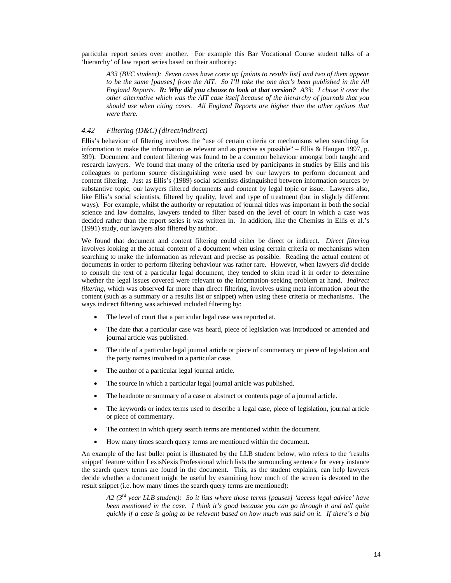particular report series over another. For example this Bar Vocational Course student talks of a 'hierarchy' of law report series based on their authority:

*A33 (BVC student): Seven cases have come up [points to results list] and two of them appear to be the same [pauses] from the AIT. So I'll take the one that's been published in the All England Reports. R: Why did you choose to look at that version? A33: I chose it over the other alternative which was the AIT case itself because of the hierarchy of journals that you should use when citing cases. All England Reports are higher than the other options that were there.* 

# *4.42 Filtering (D&C) (direct/indirect)*

Ellis's behaviour of filtering involves the "use of certain criteria or mechanisms when searching for information to make the information as relevant and as precise as possible" – Ellis & Haugan 1997, p. 399). Document and content filtering was found to be a common behaviour amongst both taught and research lawyers. We found that many of the criteria used by participants in studies by Ellis and his colleagues to perform source distinguishing were used by our lawyers to perform document and content filtering. Just as Ellis's (1989) social scientists distinguished between information sources by substantive topic, our lawyers filtered documents and content by legal topic or issue. Lawyers also, like Ellis's social scientists, filtered by quality, level and type of treatment (but in slightly different ways). For example, whilst the authority or reputation of journal titles was important in both the social science and law domains, lawyers tended to filter based on the level of court in which a case was decided rather than the report series it was written in. In addition, like the Chemists in Ellis et al.'s (1991) study, our lawyers also filtered by author.

We found that document and content filtering could either be direct or indirect. *Direct filtering* involves looking at the actual content of a document when using certain criteria or mechanisms when searching to make the information as relevant and precise as possible. Reading the actual content of documents in order to perform filtering behaviour was rather rare. However, when lawyers *did* decide to consult the text of a particular legal document, they tended to skim read it in order to determine whether the legal issues covered were relevant to the information-seeking problem at hand. *Indirect filtering*, which was observed far more than direct filtering, involves using meta information about the content (such as a summary or a results list or snippet) when using these criteria or mechanisms. The ways indirect filtering was achieved included filtering by:

- The level of court that a particular legal case was reported at.
- The date that a particular case was heard, piece of legislation was introduced or amended and journal article was published.
- The title of a particular legal journal article or piece of commentary or piece of legislation and the party names involved in a particular case.
- The author of a particular legal journal article.
- The source in which a particular legal journal article was published.
- The headnote or summary of a case or abstract or contents page of a journal article.
- The keywords or index terms used to describe a legal case, piece of legislation, journal article or piece of commentary.
- The context in which query search terms are mentioned within the document.
- How many times search query terms are mentioned within the document.

An example of the last bullet point is illustrated by the LLB student below, who refers to the 'results snippet' feature within LexisNexis Professional which lists the surrounding sentence for every instance the search query terms are found in the document. This, as the student explains, can help lawyers decide whether a document might be useful by examining how much of the screen is devoted to the result snippet (i.e. how many times the search query terms are mentioned):

*A2 (3rd year LLB student): So it lists where those terms [pauses] 'access legal advice' have been mentioned in the case. I think it's good because you can go through it and tell quite quickly if a case is going to be relevant based on how much was said on it. If there's a big*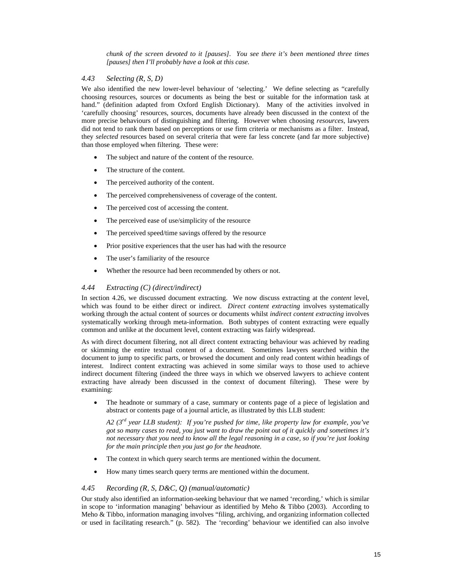*chunk of the screen devoted to it [pauses]. You see there it's been mentioned three times [pauses] then I'll probably have a look at this case.* 

# *4.43 Selecting (R, S, D)*

We also identified the new lower-level behaviour of 'selecting.' We define selecting as "carefully choosing resources, sources or documents as being the best or suitable for the information task at hand." (definition adapted from Oxford English Dictionary). Many of the activities involved in 'carefully choosing' resources, sources, documents have already been discussed in the context of the more precise behaviours of distinguishing and filtering. However when choosing *resources*, lawyers did not tend to rank them based on perceptions or use firm criteria or mechanisms as a filter. Instead, they *selected* resources based on several criteria that were far less concrete (and far more subjective) than those employed when filtering. These were:

- The subject and nature of the content of the resource.
- The structure of the content.
- The perceived authority of the content.
- The perceived comprehensiveness of coverage of the content.
- The perceived cost of accessing the content.
- The perceived ease of use/simplicity of the resource
- The perceived speed/time savings offered by the resource
- Prior positive experiences that the user has had with the resource
- The user's familiarity of the resource
- Whether the resource had been recommended by others or not.

# *4.44 Extracting (C) (direct/indirect)*

In section 4.26, we discussed document extracting. We now discuss extracting at the *content* level, which was found to be either direct or indirect. *Direct content extracting* involves systematically working through the actual content of sources or documents whilst *indirect content extracting* involves systematically working through meta-information. Both subtypes of content extracting were equally common and unlike at the document level, content extracting was fairly widespread.

As with direct document filtering, not all direct content extracting behaviour was achieved by reading or skimming the entire textual content of a document. Sometimes lawyers searched within the document to jump to specific parts, or browsed the document and only read content within headings of interest. Indirect content extracting was achieved in some similar ways to those used to achieve indirect document filtering (indeed the three ways in which we observed lawyers to achieve content extracting have already been discussed in the context of document filtering). These were by examining:

• The headnote or summary of a case, summary or contents page of a piece of legislation and abstract or contents page of a journal article, as illustrated by this LLB student:

*A2 (3rd year LLB student): If you're pushed for time, like property law for example, you've got so many cases to read, you just want to draw the point out of it quickly and sometimes it's not necessary that you need to know all the legal reasoning in a case, so if you're just looking for the main principle then you just go for the headnote.* 

- The context in which query search terms are mentioned within the document.
- How many times search query terms are mentioned within the document.

# *4.45 Recording (R, S, D&C, Q) (manual/automatic)*

Our study also identified an information-seeking behaviour that we named 'recording,' which is similar in scope to 'information managing' behaviour as identified by Meho & Tibbo (2003). According to Meho & Tibbo, information managing involves "filing, archiving, and organizing information collected or used in facilitating research." (p. 582). The 'recording' behaviour we identified can also involve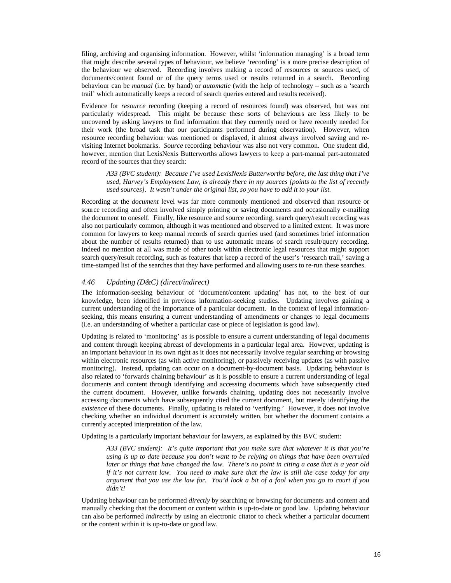filing, archiving and organising information. However, whilst 'information managing' is a broad term that might describe several types of behaviour, we believe 'recording' is a more precise description of the behaviour we observed. Recording involves making a record of resources or sources used, of documents/content found or of the query terms used or results returned in a search. Recording behaviour can be *manual* (i.e. by hand) or *automatic* (with the help of technology – such as a 'search trail' which automatically keeps a record of search queries entered and results received).

Evidence for *resource* recording (keeping a record of resources found) was observed, but was not particularly widespread. This might be because these sorts of behaviours are less likely to be uncovered by asking lawyers to find information that they currently need or have recently needed for their work (the broad task that our participants performed during observation). However, when resource recording behaviour was mentioned or displayed, it almost always involved saving and revisiting Internet bookmarks. *Source* recording behaviour was also not very common. One student did, however, mention that LexisNexis Butterworths allows lawyers to keep a part-manual part-automated record of the sources that they search:

*A33 (BVC student): Because I've used LexisNexis Butterworths before, the last thing that I've used, Harvey's Employment Law, is already there in my sources [points to the list of recently used sources]. It wasn't under the original list, so you have to add it to your list.* 

Recording at the *document* level was far more commonly mentioned and observed than resource or source recording and often involved simply printing or saving documents and occasionally e-mailing the document to oneself. Finally, like resource and source recording, search query/result recording was also not particularly common, although it was mentioned and observed to a limited extent. It was more common for lawyers to keep manual records of search queries used (and sometimes brief information about the number of results returned) than to use automatic means of search result/query recording. Indeed no mention at all was made of other tools within electronic legal resources that might support search query/result recording, such as features that keep a record of the user's 'research trail,' saving a time-stamped list of the searches that they have performed and allowing users to re-run these searches.

#### *4.46 Updating (D&C) (direct/indirect)*

The information-seeking behaviour of 'document/content updating' has not, to the best of our knowledge, been identified in previous information-seeking studies. Updating involves gaining a current understanding of the importance of a particular document. In the context of legal informationseeking, this means ensuring a current understanding of amendments or changes to legal documents (i.e. an understanding of whether a particular case or piece of legislation is good law).

Updating is related to 'monitoring' as is possible to ensure a current understanding of legal documents and content through keeping abreast of developments in a particular legal area. However, updating is an important behaviour in its own right as it does not necessarily involve regular searching or browsing within electronic resources (as with active monitoring), or passively receiving updates (as with passive monitoring). Instead, updating can occur on a document-by-document basis. Updating behaviour is also related to 'forwards chaining behaviour' as it is possible to ensure a current understanding of legal documents and content through identifying and accessing documents which have subsequently cited the current document. However, unlike forwards chaining, updating does not necessarily involve accessing documents which have subsequently cited the current document, but merely identifying the *existence* of these documents. Finally, updating is related to 'verifying.' However, it does not involve checking whether an individual document is accurately written, but whether the document contains a currently accepted interpretation of the law.

Updating is a particularly important behaviour for lawyers, as explained by this BVC student:

*A33 (BVC student): It's quite important that you make sure that whatever it is that you're using is up to date because you don't want to be relying on things that have been overruled later or things that have changed the law. There's no point in citing a case that is a year old if it's not current law. You need to make sure that the law is still the case today for any argument that you use the law for. You'd look a bit of a fool when you go to court if you didn't!* 

Updating behaviour can be performed *directly* by searching or browsing for documents and content and manually checking that the document or content within is up-to-date or good law. Updating behaviour can also be performed *indirectly* by using an electronic citator to check whether a particular document or the content within it is up-to-date or good law.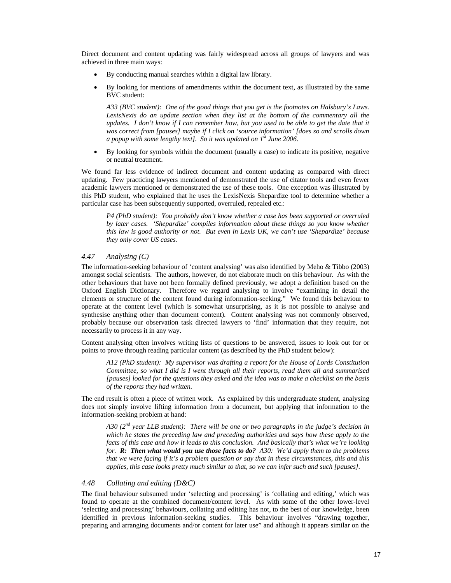Direct document and content updating was fairly widespread across all groups of lawyers and was achieved in three main ways:

- By conducting manual searches within a digital law library.
- By looking for mentions of amendments within the document text, as illustrated by the same BVC student:

*A33 (BVC student): One of the good things that you get is the footnotes on Halsbury's Laws. LexisNexis do an update section when they list at the bottom of the commentary all the updates. I don't know if I can remember how, but you used to be able to get the date that it was correct from [pauses] maybe if I click on 'source information' [does so and scrolls down a popup with some lengthy text]. So it was updated on 1st June 2006.* 

• By looking for symbols within the document (usually a case) to indicate its positive, negative or neutral treatment.

We found far less evidence of indirect document and content updating as compared with direct updating. Few practicing lawyers mentioned of demonstrated the use of citator tools and even fewer academic lawyers mentioned or demonstrated the use of these tools. One exception was illustrated by this PhD student, who explained that he uses the LexisNexis Shepardize tool to determine whether a particular case has been subsequently supported, overruled, repealed etc.:

*P4 (PhD student): You probably don't know whether a case has been supported or overruled by later cases. 'Shepardize' compiles information about these things so you know whether this law is good authority or not. But even in Lexis UK, we can't use 'Shepardize' because they only cover US cases.* 

# *4.47 Analysing (C)*

The information-seeking behaviour of 'content analysing' was also identified by Meho & Tibbo (2003) amongst social scientists. The authors, however, do not elaborate much on this behaviour. As with the other behaviours that have not been formally defined previously, we adopt a definition based on the Oxford English Dictionary. Therefore we regard analysing to involve "examining in detail the elements or structure of the content found during information-seeking." We found this behaviour to operate at the content level (which is somewhat unsurprising, as it is not possible to analyse and synthesise anything other than document content). Content analysing was not commonly observed, probably because our observation task directed lawyers to 'find' information that they require, not necessarily to process it in any way.

Content analysing often involves writing lists of questions to be answered, issues to look out for or points to prove through reading particular content (as described by the PhD student below):

*A12 (PhD student): My supervisor was drafting a report for the House of Lords Constitution Committee, so what I did is I went through all their reports, read them all and summarised [pauses] looked for the questions they asked and the idea was to make a checklist on the basis of the reports they had written.* 

The end result is often a piece of written work. As explained by this undergraduate student, analysing does not simply involve lifting information from a document, but applying that information to the information-seeking problem at hand:

*A30 (2nd year LLB student): There will be one or two paragraphs in the judge's decision in which he states the preceding law and preceding authorities and says how these apply to the facts of this case and how it leads to this conclusion. And basically that's what we're looking for. R: Then what would you use those facts to do? A30: We'd apply them to the problems that we were facing if it's a problem question or say that in these circumstances, this and this applies, this case looks pretty much similar to that, so we can infer such and such [pauses].* 

#### *4.48 Collating and editing (D&C)*

The final behaviour subsumed under 'selecting and processing' is 'collating and editing,' which was found to operate at the combined document/content level. As with some of the other lower-level 'selecting and processing' behaviours, collating and editing has not, to the best of our knowledge, been identified in previous information-seeking studies. This behaviour involves "drawing together, preparing and arranging documents and/or content for later use" and although it appears similar on the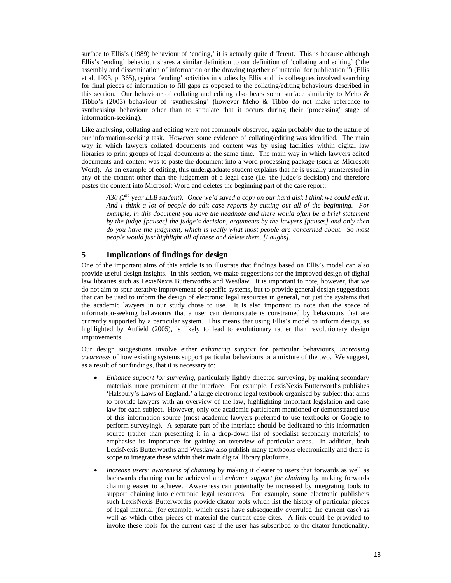surface to Ellis's (1989) behaviour of 'ending,' it is actually quite different. This is because although Ellis's 'ending' behaviour shares a similar definition to our definition of 'collating and editing' ("the assembly and dissemination of information or the drawing together of material for publication.") (Ellis et al, 1993, p. 365), typical 'ending' activities in studies by Ellis and his colleagues involved searching for final pieces of information to fill gaps as opposed to the collating/editing behaviours described in this section. Our behaviour of collating and editing also bears some surface similarity to Meho  $\&$ Tibbo's (2003) behaviour of 'synthesising' (however Meho & Tibbo do not make reference to synthesising behaviour other than to stipulate that it occurs during their 'processing' stage of information-seeking).

Like analysing, collating and editing were not commonly observed, again probably due to the nature of our information-seeking task. However some evidence of collating/editing was identified. The main way in which lawyers collated documents and content was by using facilities within digital law libraries to print groups of legal documents at the same time. The main way in which lawyers edited documents and content was to paste the document into a word-processing package (such as Microsoft Word). As an example of editing, this undergraduate student explains that he is usually uninterested in any of the content other than the judgement of a legal case (i.e. the judge's decision) and therefore pastes the content into Microsoft Word and deletes the beginning part of the case report:

*A30 (2nd year LLB student): Once we'd saved a copy on our hard disk I think we could edit it. And I think a lot of people do edit case reports by cutting out all of the beginning. For example, in this document you have the headnote and there would often be a brief statement by the judge [pauses] the judge's decision, arguments by the lawyers [pauses] and only then do you have the judgment, which is really what most people are concerned about. So most people would just highlight all of these and delete them. [Laughs].* 

# **5 Implications of findings for design**

One of the important aims of this article is to illustrate that findings based on Ellis's model can also provide useful design insights. In this section, we make suggestions for the improved design of digital law libraries such as LexisNexis Butterworths and Westlaw. It is important to note, however, that we do not aim to spur iterative improvement of specific systems, but to provide general design suggestions that can be used to inform the design of electronic legal resources in general, not just the systems that the academic lawyers in our study chose to use. It is also important to note that the space of information-seeking behaviours that a user can demonstrate is constrained by behaviours that are currently supported by a particular system. This means that using Ellis's model to inform design, as highlighted by Attfield (2005), is likely to lead to evolutionary rather than revolutionary design improvements.

Our design suggestions involve either *enhancing support* for particular behaviours, *increasing awareness* of how existing systems support particular behaviours or a mixture of the two. We suggest, as a result of our findings, that it is necessary to:

- *Enhance support for surveying*, particularly lightly directed surveying, by making secondary materials more prominent at the interface. For example, LexisNexis Butterworths publishes 'Halsbury's Laws of England,' a large electronic legal textbook organised by subject that aims to provide lawyers with an overview of the law, highlighting important legislation and case law for each subject. However, only one academic participant mentioned or demonstrated use of this information source (most academic lawyers preferred to use textbooks or Google to perform surveying). A separate part of the interface should be dedicated to this information source (rather than presenting it in a drop-down list of specialist secondary materials) to emphasise its importance for gaining an overview of particular areas. In addition, both LexisNexis Butterworths and Westlaw also publish many textbooks electronically and there is scope to integrate these within their main digital library platforms.
- *Increase users' awareness of chaining* by making it clearer to users that forwards as well as backwards chaining can be achieved and *enhance support for chaining* by making forwards chaining easier to achieve. Awareness can potentially be increased by integrating tools to support chaining into electronic legal resources. For example, some electronic publishers such LexisNexis Butterworths provide citator tools which list the history of particular pieces of legal material (for example, which cases have subsequently overruled the current case) as well as which other pieces of material the current case cites. A link could be provided to invoke these tools for the current case if the user has subscribed to the citator functionality.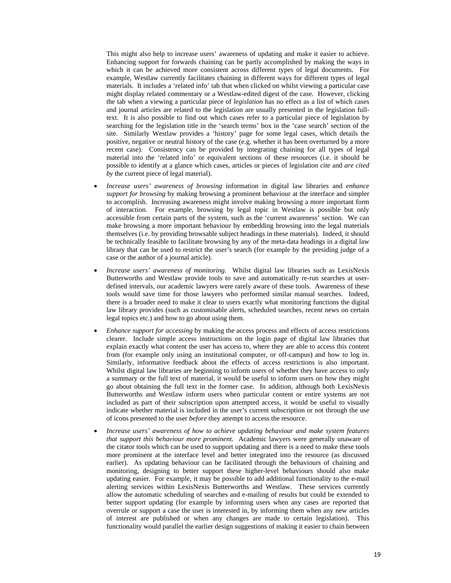This might also help to increase users' awareness of updating and make it easier to achieve. Enhancing support for forwards chaining can be partly accomplished by making the ways in which it can be achieved more consistent across different types of legal documents. For example, Westlaw currently facilitates chaining in different ways for different types of legal materials. It includes a 'related info' tab that when clicked on whilst viewing a particular case might display related commentary or a Westlaw-edited digest of the case. However, clicking the tab when a viewing a particular piece of *legislation* has no effect as a list of which cases and journal articles are related to the legislation are usually presented in the legislation fulltext. It is also possible to find out which cases refer to a particular piece of legislation by searching for the legislation title in the 'search terms' box in the 'case search' section of the site. Similarly Westlaw provides a 'history' page for some legal cases, which details the positive, negative or neutral history of the case (e.g. whether it has been overturned by a more recent case). Consistency can be provided by integrating chaining for all types of legal material into the 'related info' or equivalent sections of these resources (i.e. it should be possible to identify at a glance which cases, articles or pieces of legislation *cite* and *are cited by* the current piece of legal material).

- *Increase users' awareness of browsing* information in digital law libraries and *enhance support for browsing* by making browsing a prominent behaviour at the interface and simpler to accomplish. Increasing awareness might involve making browsing a more important form of interaction. For example, browsing by legal topic in Westlaw is possible but only accessible from certain parts of the system, such as the 'current awareness' section. We can make browsing a more important behaviour by embedding browsing into the legal materials themselves (i.e. by providing browsable subject headings in these materials). Indeed, it should be technically feasible to facilitate browsing by any of the meta-data headings in a digital law library that can be used to restrict the user's search (for example by the presiding judge of a case or the author of a journal article).
- *Increase users' awareness of monitoring.* Whilst digital law libraries such as LexisNexis Butterworths and Westlaw provide tools to save and automatically re-run searches at userdefined intervals, our academic lawyers were rarely aware of these tools. Awareness of these tools would save time for those lawyers who performed similar manual searches. Indeed, there is a broader need to make it clear to users exactly what monitoring functions the digital law library provides (such as customisable alerts, scheduled searches, recent news on certain legal topics etc.) and how to go about using them.
- *Enhance support for accessing* by making the access process and effects of access restrictions clearer. Include simple access instructions on the login page of digital law libraries that explain exactly what content the user has access to, where they are able to access this content from (for example only using an institutional computer, or off-campus) and how to log in. Similarly, informative feedback about the effects of access restrictions is also important. Whilst digital law libraries are beginning to inform users of whether they have access to only a summary or the full text of material, it would be useful to inform users on how they might go about obtaining the full text in the former case. In addition, although both LexisNexis Butterworths and Westlaw inform users when particular content or entire systems are not included as part of their subscription upon attempted access, it would be useful to visually indicate whether material is included in the user's current subscription or not through the use of icons presented to the user *before* they attempt to access the resource.
- *Increase users' awareness of how to achieve updating behaviour and make system features that support this behaviour more prominent.* Academic lawyers were generally unaware of the citator tools which can be used to support updating and there is a need to make these tools more prominent at the interface level and better integrated into the resource (as discussed earlier). As updating behaviour can be facilitated through the behaviours of chaining and monitoring, designing to better support these higher-level behaviours should also make updating easier. For example, it may be possible to add additional functionality to the e-mail alerting services within LexisNexis Butterworths and Westlaw. These services currently allow the automatic scheduling of searches and e-mailing of results but could be extended to better support updating (for example by informing users when any cases are reported that overrule or support a case the user is interested in, by informing them when any new articles of interest are published or when any changes are made to certain legislation). This functionality would parallel the earlier design suggestions of making it easier to chain between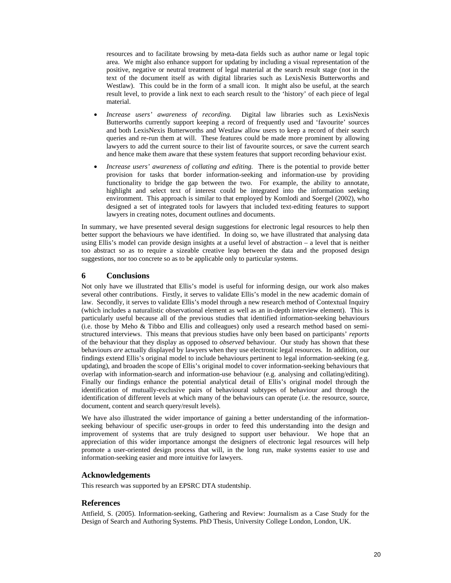resources and to facilitate browsing by meta-data fields such as author name or legal topic area. We might also enhance support for updating by including a visual representation of the positive, negative or neutral treatment of legal material at the search result stage (not in the text of the document itself as with digital libraries such as LexisNexis Butterworths and Westlaw). This could be in the form of a small icon. It might also be useful, at the search result level, to provide a link next to each search result to the 'history' of each piece of legal material.

- *Increase users' awareness of recording.* Digital law libraries such as LexisNexis Butterworths currently support keeping a record of frequently used and 'favourite' sources and both LexisNexis Butterworths and Westlaw allow users to keep a record of their search queries and re-run them at will. These features could be made more prominent by allowing lawyers to add the current source to their list of favourite sources, or save the current search and hence make them aware that these system features that support recording behaviour exist.
- *Increase users' awareness of collating and editing.* There is the potential to provide better provision for tasks that border information-seeking and information-use by providing functionality to bridge the gap between the two. For example, the ability to annotate, highlight and select text of interest could be integrated into the information seeking environment. This approach is similar to that employed by Komlodi and Soergel (2002), who designed a set of integrated tools for lawyers that included text-editing features to support lawyers in creating notes, document outlines and documents.

In summary, we have presented several design suggestions for electronic legal resources to help then better support the behaviours we have identified. In doing so, we have illustrated that analysing data using Ellis's model can provide design insights at a useful level of abstraction – a level that is neither too abstract so as to require a sizeable creative leap between the data and the proposed design suggestions, nor too concrete so as to be applicable only to particular systems.

#### **6 Conclusions**

Not only have we illustrated that Ellis's model is useful for informing design, our work also makes several other contributions. Firstly, it serves to validate Ellis's model in the new academic domain of law. Secondly, it serves to validate Ellis's model through a new research method of Contextual Inquiry (which includes a naturalistic observational element as well as an in-depth interview element). This is particularly useful because all of the previous studies that identified information-seeking behaviours (i.e. those by Meho & Tibbo and Ellis and colleagues) only used a research method based on semistructured interviews. This means that previous studies have only been based on participants' *reports* of the behaviour that they display as opposed to *observed* behaviour. Our study has shown that these behaviours *are* actually displayed by lawyers when they use electronic legal resources. In addition, our findings extend Ellis's original model to include behaviours pertinent to legal information-seeking (e.g. updating), and broaden the scope of Ellis's original model to cover information-seeking behaviours that overlap with information-search and information-use behaviour (e.g. analysing and collating/editing). Finally our findings enhance the potential analytical detail of Ellis's original model through the identification of mutually-exclusive pairs of behavioural subtypes of behaviour and through the identification of different levels at which many of the behaviours can operate (i.e. the resource, source, document, content and search query/result levels).

We have also illustrated the wider importance of gaining a better understanding of the informationseeking behaviour of specific user-groups in order to feed this understanding into the design and improvement of systems that are truly designed to support user behaviour. We hope that an appreciation of this wider importance amongst the designers of electronic legal resources will help promote a user-oriented design process that will, in the long run, make systems easier to use and information-seeking easier and more intuitive for lawyers.

#### **Acknowledgements**

This research was supported by an EPSRC DTA studentship.

# **References**

Attfield, S. (2005). Information-seeking, Gathering and Review: Journalism as a Case Study for the Design of Search and Authoring Systems. PhD Thesis, University College London, London, UK.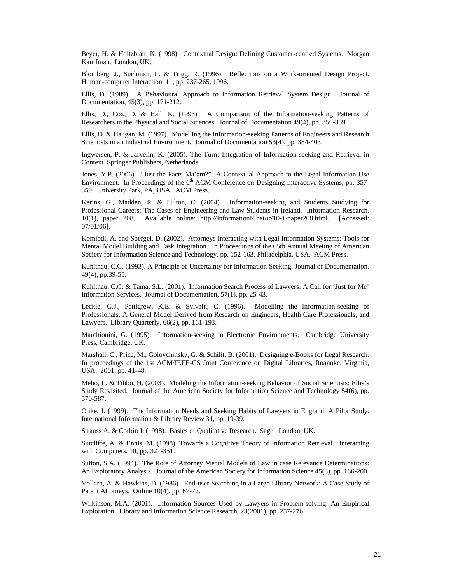Beyer, H. & Holtzblatt, K. (1998). Contextual Design: Defining Customer-centred Systems. Morgan Kauffman. London, UK.

Blomberg, J., Suchman, L. & Trigg, R. (1996). Reflections on a Work-oriented Design Project. Human-computer Interaction, 11, pp. 237-265, 1996.

Ellis, D. (1989). A Behavioural Approach to Information Retrieval System Design. Journal of Documentation, 45(3), pp. 171-212.

Ellis, D., Cox, D. & Hall, K. (1993). A Comparison of the Information-seeking Patterns of Researchers in the Physical and Social Sciences. Journal of Documentation 49(4), pp. 356-369.

Ellis, D. & Haugan, M. (1997). Modelling the Information-seeking Patterns of Engineers and Research Scientists in an Industrial Environment. Journal of Documentation 53(4), pp. 384-403.

Ingwersen, P. & Järvelin, K. (2005). The Turn: Integration of Information-seeking and Retrieval in Context. Springer Publishers, Netherlands.

Jones, Y.P. (2006). "Just the Facts Ma'am?" A Contextual Approach to the Legal Information Use Environment. In Proceedings of the  $6<sup>th</sup>$  ACM Conference on Designing Interactive Systems, pp. 357-359. University Park, PA, USA. ACM Press.

Kerins, G., Madden, R. & Fulton, C. (2004). Information-seeking and Students Studying for Professional Careers: The Cases of Engineering and Law Students in Ireland. Information Research, 10(1), paper 208. Available online: http://InformationR.net/ir/10-1/paper208.html. [Accessed: 07/01/06].

Komlodi, A. and Soergel, D. (2002). Attorneys Interacting with Legal Information Systems: Tools for Mental Model Building and Task Integration. In Proceedings of the 65th Annual Meeting of American Society for Information Science and Technology, pp. 152-163. Philadelphia, USA. ACM Press.

Kuhlthau, C.C. (1993). A Principle of Uncertainty for Information Seeking. Journal of Documentation, 49(4), pp.39-55.

Kuhlthau, C.C. & Tama, S.L. (2001). Information Search Process of Lawyers: A Call for 'Just for Me' Information Services. Journal of Documentation, 57(1), pp. 25-43.

Leckie, G.J., Pettigrew, K.E. & Sylvain, C. (1996). Modelling the Information-seeking of Professionals: A General Model Derived from Research on Engineers, Health Care Professionals, and Lawyers. Library Quarterly, 66(2), pp. 161-193.

Marchionini, G. (1995). Information-seeking in Electronic Environments. Cambridge University Press, Cambridge, UK.

Marshall, C., Price, M., Golovchinsky, G. & Schilit, B. (2001). Designing e-Books for Legal Research. In proceedings of the 1st ACM/IEEE-CS Joint Conference on Digital Libraries, Roanoke, Virginia, USA. 2001, pp. 41-48.

Meho, L. & Tibbo, H. (2003). Modeling the Information-seeking Behavior of Social Scientists: Ellis's Study Revisited. Journal of the American Society for Information Science and Technology 54(6), pp. 570-587.

Otike, J. (1999). The Information Needs and Seeking Habits of Lawyers in England: A Pilot Study. International Information & Library Review 31, pp. 19-39.

Strauss A. & Corbin J. (1998). Basics of Qualitative Research. Sage. London, UK.

Sutcliffe, A. & Ennis, M. (1998). Towards a Cognitive Theory of Information Retrieval. Interacting with Computers, 10, pp. 321-351.

Sutton, S.A. (1994). The Role of Attorney Mental Models of Law in case Relevance Determinations: An Exploratory Analysis. Journal of the American Society for Information Science 45(3), pp. 186-200.

Vollaro, A. & Hawkins, D. (1986). End-user Searching in a Large Library Network: A Case Study of Patent Attorneys. Online 10(4), pp. 67-72.

Wilkinson, M.A. (2001). Information Sources Used by Lawyers in Problem-solving: An Empirical Exploration. Library and Information Science Research, 23(2001), pp. 257-276.